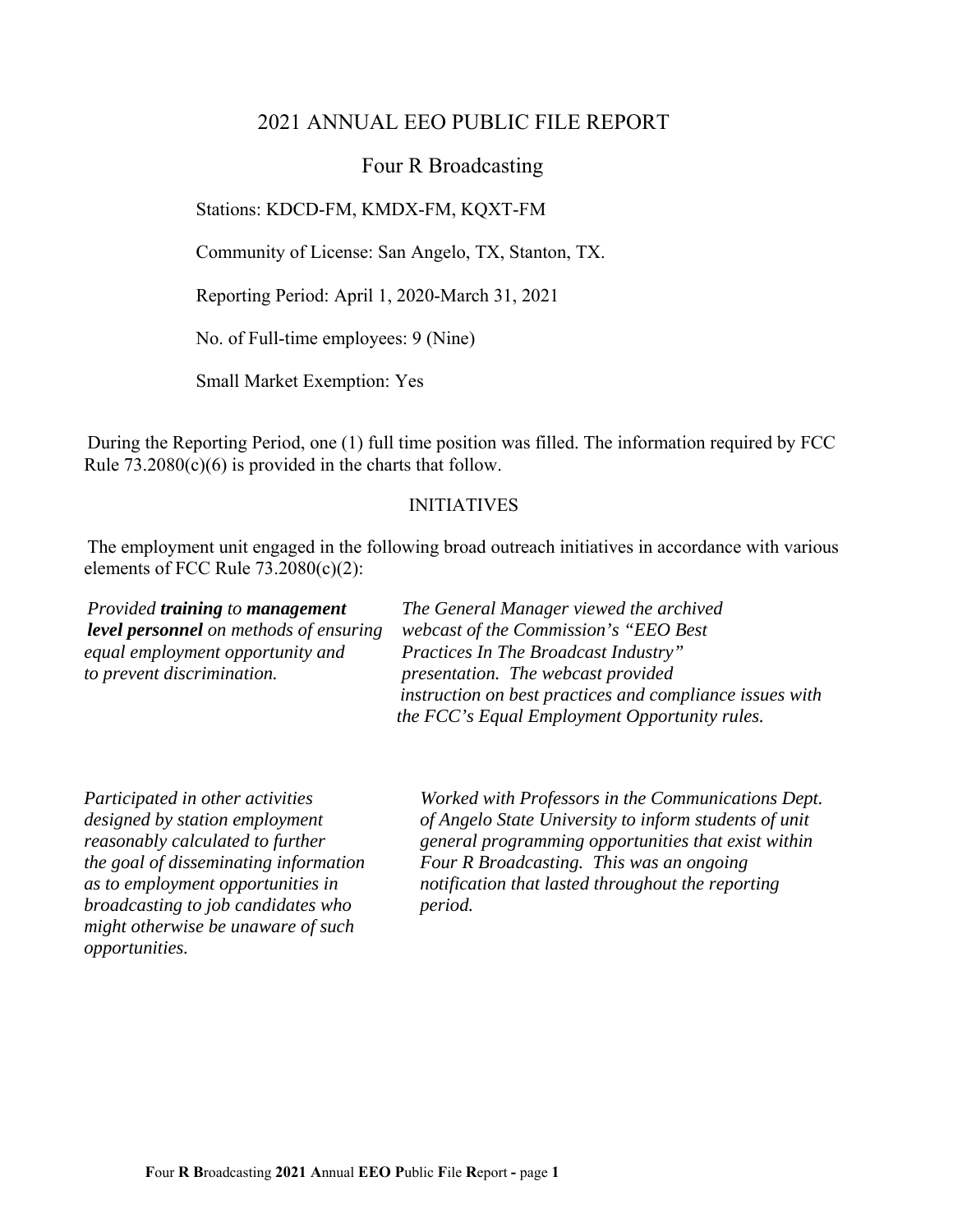## 2021 ANNUAL EEO PUBLIC FILE REPORT

### Four R Broadcasting

Stations: KDCD-FM, KMDX-FM, KQXT-FM

Community of License: San Angelo, TX, Stanton, TX.

Reporting Period: April 1, 2020-March 31, 2021

No. of Full-time employees: 9 (Nine)

Small Market Exemption: Yes

During the Reporting Period, one (1) full time position was filled. The information required by FCC Rule  $73.2080(c)(6)$  is provided in the charts that follow.

#### INITIATIVES

The employment unit engaged in the following broad outreach initiatives in accordance with various elements of FCC Rule 73.2080(c)(2):

*equal employment opportunity and Practices In The Broadcast Industry" to prevent discrimination. presentation. The webcast provided* 

*Provided training to management The General Manager viewed the archived level personnel on methods of ensuring webcast of the Commission's "EEO Best instruction on best practices and compliance issues with the FCC's Equal Employment Opportunity rules.* 

*broadcasting to job candidates who period. might otherwise be unaware of such opportunities.* 

*Participated in other activities Worked with Professors in the Communications Dept. designed by station employment of Angelo State University to inform students of unit reasonably calculated to further* general programming opportunities that exist within *the goal of disseminating information Four R Broadcasting. This was an ongoing as to employment opportunities in notification that lasted throughout the reporting*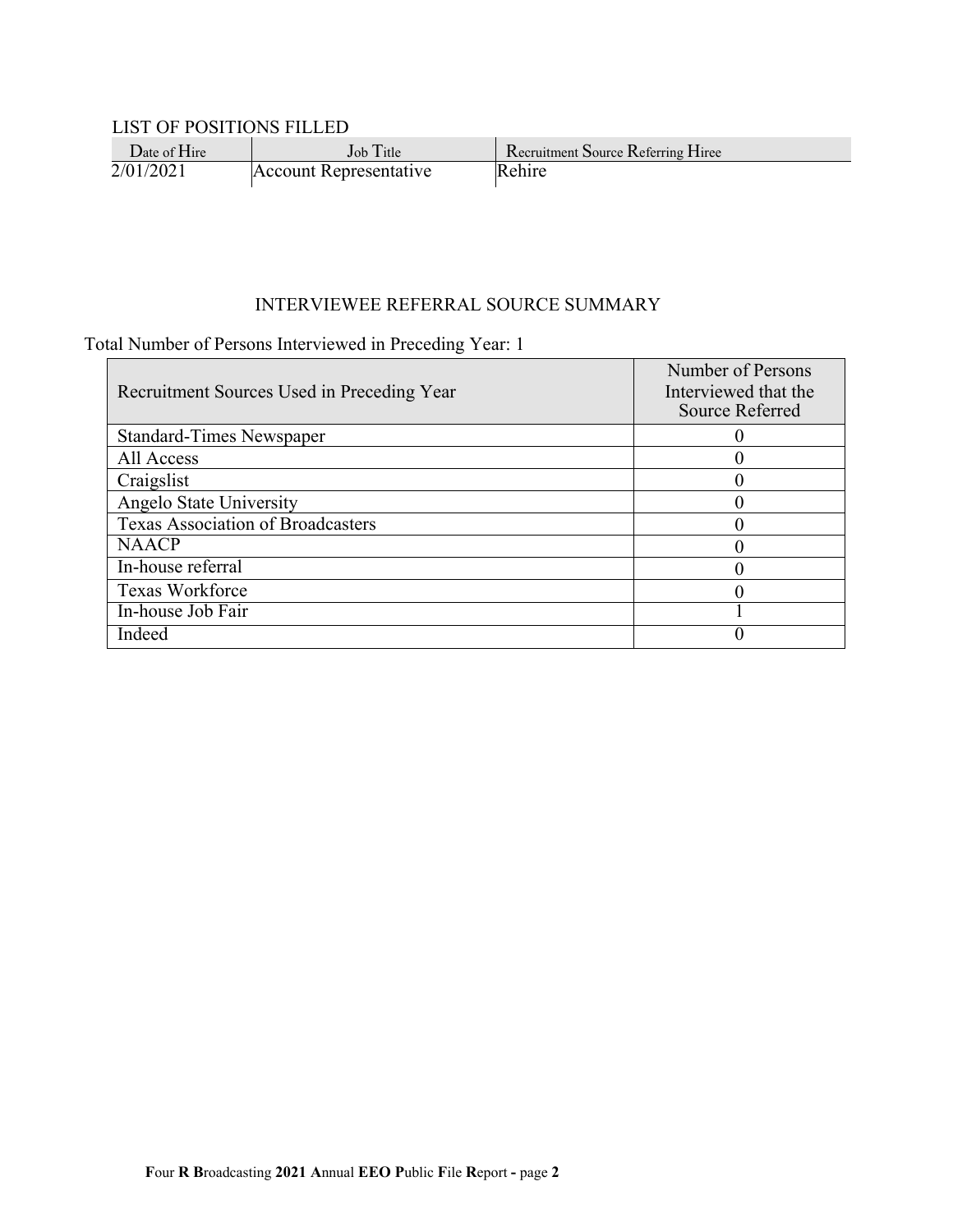#### LIST OF POSITIONS FILLED

| $\mathsf{Date}$ of $\mathsf{H}$ ire | $Job$ Title            | Recruitment Source Referring Hiree |
|-------------------------------------|------------------------|------------------------------------|
| 2/01/2021                           | Account Representative | Rehire                             |

#### INTERVIEWEE REFERRAL SOURCE SUMMARY

### Total Number of Persons Interviewed in Preceding Year: 1

|                                            | Number of Persons    |
|--------------------------------------------|----------------------|
| Recruitment Sources Used in Preceding Year | Interviewed that the |
|                                            | Source Referred      |
| <b>Standard-Times Newspaper</b>            |                      |
| All Access                                 |                      |
| Craigslist                                 |                      |
| Angelo State University                    |                      |
| <b>Texas Association of Broadcasters</b>   |                      |
| <b>NAACP</b>                               |                      |
| In-house referral                          |                      |
| <b>Texas Workforce</b>                     |                      |
| In-house Job Fair                          |                      |
| Indeed                                     |                      |